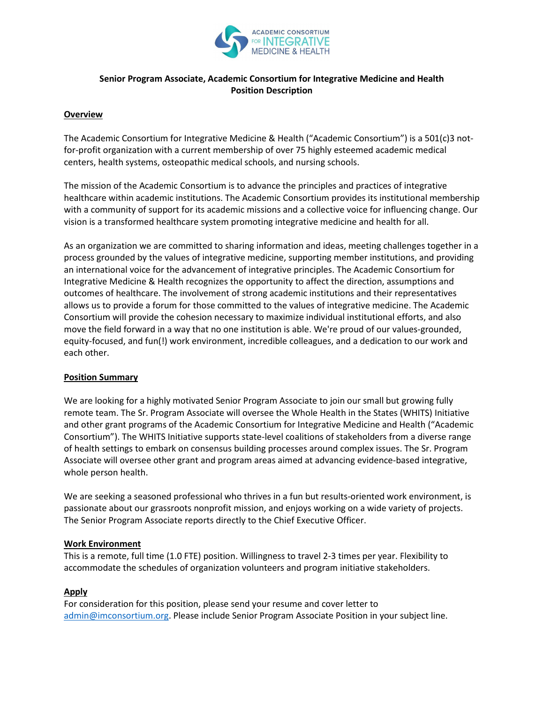

# **Senior Program Associate, Academic Consortium for Integrative Medicine and Health Position Description**

#### **Overview**

The Academic Consortium for Integrative Medicine & Health ("Academic Consortium") is a 501(c)3 notfor-profit organization with a current membership of over 75 highly esteemed academic medical centers, health systems, osteopathic medical schools, and nursing schools.

The mission of the Academic Consortium is to advance the principles and practices of integrative healthcare within academic institutions. The Academic Consortium provides its institutional membership with a community of support for its academic missions and a collective voice for influencing change. Our vision is a transformed healthcare system promoting integrative medicine and health for all.

As an organization we are committed to sharing information and ideas, meeting challenges together in a process grounded by the values of integrative medicine, supporting member institutions, and providing an international voice for the advancement of integrative principles. The Academic Consortium for Integrative Medicine & Health recognizes the opportunity to affect the direction, assumptions and outcomes of healthcare. The involvement of strong academic institutions and their representatives allows us to provide a forum for those committed to the values of integrative medicine. The Academic Consortium will provide the cohesion necessary to maximize individual institutional efforts, and also move the field forward in a way that no one institution is able. We're proud of our values-grounded, equity-focused, and fun(!) work environment, incredible colleagues, and a dedication to our work and each other.

### **Position Summary**

We are looking for a highly motivated Senior Program Associate to join our small but growing fully remote team. The Sr. Program Associate will oversee the Whole Health in the States (WHITS) Initiative and other grant programs of the Academic Consortium for Integrative Medicine and Health ("Academic Consortium"). The WHITS Initiative supports state-level coalitions of stakeholders from a diverse range of health settings to embark on consensus building processes around complex issues. The Sr. Program Associate will oversee other grant and program areas aimed at advancing evidence-based integrative, whole person health.

We are seeking a seasoned professional who thrives in a fun but results-oriented work environment, is passionate about our grassroots nonprofit mission, and enjoys working on a wide variety of projects. The Senior Program Associate reports directly to the Chief Executive Officer.

#### **Work Environment**

This is a remote, full time (1.0 FTE) position. Willingness to travel 2-3 times per year. Flexibility to accommodate the schedules of organization volunteers and program initiative stakeholders.

### **Apply**

For consideration for this position, please send your resume and cover letter to [admin@imconsortium.org.](mailto:admin@imconsortium.org) Please include Senior Program Associate Position in your subject line.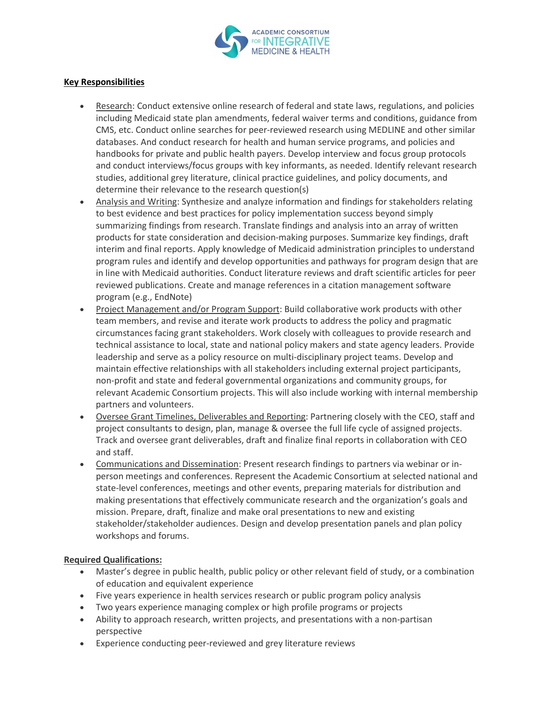

## **Key Responsibilities**

- Research: Conduct extensive online research of federal and state laws, regulations, and policies including Medicaid state plan amendments, federal waiver terms and conditions, guidance from CMS, etc. Conduct online searches for peer-reviewed research using MEDLINE and other similar databases. And conduct research for health and human service programs, and policies and handbooks for private and public health payers. Develop interview and focus group protocols and conduct interviews/focus groups with key informants, as needed. Identify relevant research studies, additional grey literature, clinical practice guidelines, and policy documents, and determine their relevance to the research question(s)
- Analysis and Writing: Synthesize and analyze information and findings for stakeholders relating to best evidence and best practices for policy implementation success beyond simply summarizing findings from research. Translate findings and analysis into an array of written products for state consideration and decision-making purposes. Summarize key findings, draft interim and final reports. Apply knowledge of Medicaid administration principles to understand program rules and identify and develop opportunities and pathways for program design that are in line with Medicaid authorities. Conduct literature reviews and draft scientific articles for peer reviewed publications. Create and manage references in a citation management software program (e.g., EndNote)
- Project Management and/or Program Support: Build collaborative work products with other team members, and revise and iterate work products to address the policy and pragmatic circumstances facing grant stakeholders. Work closely with colleagues to provide research and technical assistance to local, state and national policy makers and state agency leaders. Provide leadership and serve as a policy resource on multi-disciplinary project teams. Develop and maintain effective relationships with all stakeholders including external project participants, non-profit and state and federal governmental organizations and community groups, for relevant Academic Consortium projects. This will also include working with internal membership partners and volunteers.
- Oversee Grant Timelines, Deliverables and Reporting: Partnering closely with the CEO, staff and project consultants to design, plan, manage & oversee the full life cycle of assigned projects. Track and oversee grant deliverables, draft and finalize final reports in collaboration with CEO and staff.
- Communications and Dissemination: Present research findings to partners via webinar or inperson meetings and conferences. Represent the Academic Consortium at selected national and state-level conferences, meetings and other events, preparing materials for distribution and making presentations that effectively communicate research and the organization's goals and mission. Prepare, draft, finalize and make oral presentations to new and existing stakeholder/stakeholder audiences. Design and develop presentation panels and plan policy workshops and forums.

### **Required Qualifications:**

- Master's degree in public health, public policy or other relevant field of study, or a combination of education and equivalent experience
- Five years experience in health services research or public program policy analysis
- Two years experience managing complex or high profile programs or projects
- Ability to approach research, written projects, and presentations with a non-partisan perspective
- Experience conducting peer-reviewed and grey literature reviews